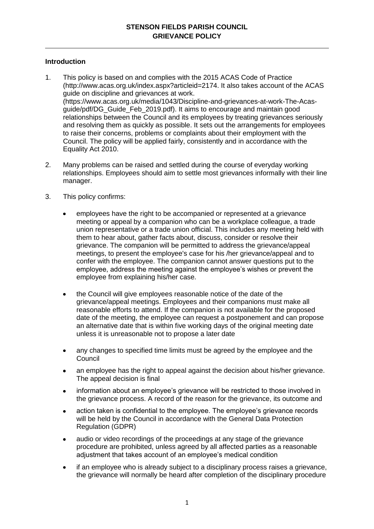# **Introduction**

- 1. This policy is based on and complies with the 2015 ACAS Code of Practice (http://www.acas.org.uk/index.aspx?articleid=2174. It also takes account of the ACAS guide on discipline and grievances at work. (https://www.acas.org.uk/media/1043/Discipline-and-grievances-at-work-The-Acasguide/pdf/DG\_Guide\_Feb\_2019.pdf). It aims to encourage and maintain good relationships between the Council and its employees by treating grievances seriously and resolving them as quickly as possible. It sets out the arrangements for employees to raise their concerns, problems or complaints about their employment with the Council. The policy will be applied fairly, consistently and in accordance with the Equality Act 2010.
- 2. Many problems can be raised and settled during the course of everyday working relationships. Employees should aim to settle most grievances informally with their line manager.
- 3. This policy confirms:
	- employees have the right to be accompanied or represented at a grievance meeting or appeal by a companion who can be a workplace colleague, a trade union representative or a trade union official. This includes any meeting held with them to hear about, gather facts about, discuss, consider or resolve their grievance. The companion will be permitted to address the grievance/appeal meetings, to present the employee's case for his /her grievance/appeal and to confer with the employee. The companion cannot answer questions put to the employee, address the meeting against the employee's wishes or prevent the employee from explaining his/her case.
	- the Council will give employees reasonable notice of the date of the grievance/appeal meetings. Employees and their companions must make all reasonable efforts to attend. If the companion is not available for the proposed date of the meeting, the employee can request a postponement and can propose an alternative date that is within five working days of the original meeting date unless it is unreasonable not to propose a later date
	- any changes to specified time limits must be agreed by the employee and the Council
	- an employee has the right to appeal against the decision about his/her grievance. The appeal decision is final
	- information about an employee's grievance will be restricted to those involved in the grievance process. A record of the reason for the grievance, its outcome and
	- action taken is confidential to the employee. The employee's grievance records will be held by the Council in accordance with the General Data Protection Regulation (GDPR)
	- audio or video recordings of the proceedings at any stage of the grievance procedure are prohibited, unless agreed by all affected parties as a reasonable adjustment that takes account of an employee's medical condition
	- if an employee who is already subject to a disciplinary process raises a grievance, the grievance will normally be heard after completion of the disciplinary procedure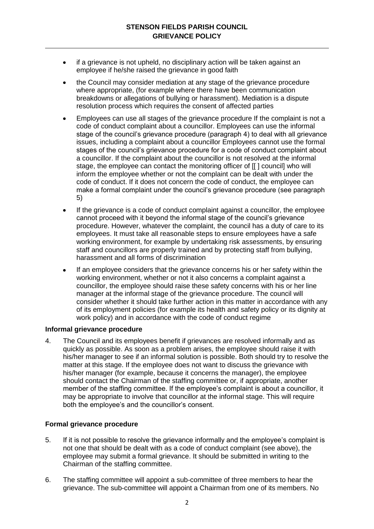- if a grievance is not upheld, no disciplinary action will be taken against an employee if he/she raised the grievance in good faith
- the Council may consider mediation at any stage of the grievance procedure where appropriate, (for example where there have been communication breakdowns or allegations of bullying or harassment). Mediation is a dispute resolution process which requires the consent of affected parties
- Employees can use all stages of the grievance procedure If the complaint is not a code of conduct complaint about a councillor. Employees can use the informal stage of the council's grievance procedure (paragraph 4) to deal with all grievance issues, including a complaint about a councillor Employees cannot use the formal stages of the council's grievance procedure for a code of conduct complaint about a councillor. If the complaint about the councillor is not resolved at the informal stage, the employee can contact the monitoring officer of [[ ] council] who will inform the employee whether or not the complaint can be dealt with under the code of conduct. If it does not concern the code of conduct, the employee can make a formal complaint under the council's grievance procedure (see paragraph 5)
- If the grievance is a code of conduct complaint against a councillor, the employee cannot proceed with it beyond the informal stage of the council's grievance procedure. However, whatever the complaint, the council has a duty of care to its employees. It must take all reasonable steps to ensure employees have a safe working environment, for example by undertaking risk assessments, by ensuring staff and councillors are properly trained and by protecting staff from bullying, harassment and all forms of discrimination
- If an employee considers that the grievance concerns his or her safety within the working environment, whether or not it also concerns a complaint against a councillor, the employee should raise these safety concerns with his or her line manager at the informal stage of the grievance procedure. The council will consider whether it should take further action in this matter in accordance with any of its employment policies (for example its health and safety policy or its dignity at work policy) and in accordance with the code of conduct regime

# **Informal grievance procedure**

4. The Council and its employees benefit if grievances are resolved informally and as quickly as possible. As soon as a problem arises, the employee should raise it with his/her manager to see if an informal solution is possible. Both should try to resolve the matter at this stage. If the employee does not want to discuss the grievance with his/her manager (for example, because it concerns the manager), the employee should contact the Chairman of the staffing committee or, if appropriate, another member of the staffing committee. If the employee's complaint is about a councillor, it may be appropriate to involve that councillor at the informal stage. This will require both the employee's and the councillor's consent.

# **Formal grievance procedure**

- 5. If it is not possible to resolve the grievance informally and the employee's complaint is not one that should be dealt with as a code of conduct complaint (see above), the employee may submit a formal grievance. It should be submitted in writing to the Chairman of the staffing committee.
- 6. The staffing committee will appoint a sub-committee of three members to hear the grievance. The sub-committee will appoint a Chairman from one of its members. No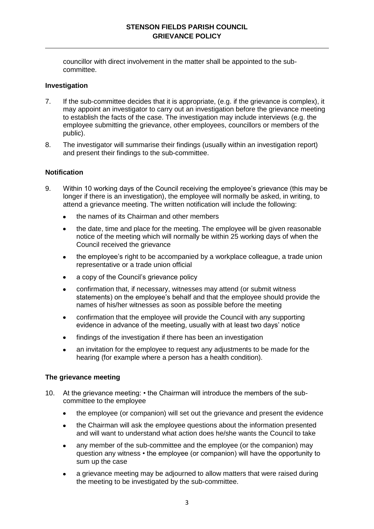councillor with direct involvement in the matter shall be appointed to the subcommittee.

### **Investigation**

- 7. If the sub-committee decides that it is appropriate, (e.g. if the grievance is complex), it may appoint an investigator to carry out an investigation before the grievance meeting to establish the facts of the case. The investigation may include interviews (e.g. the employee submitting the grievance, other employees, councillors or members of the public).
- 8. The investigator will summarise their findings (usually within an investigation report) and present their findings to the sub-committee.

#### **Notification**

- 9. Within 10 working days of the Council receiving the employee's grievance (this may be longer if there is an investigation), the employee will normally be asked, in writing, to attend a grievance meeting. The written notification will include the following:
	- the names of its Chairman and other members
	- the date, time and place for the meeting. The employee will be given reasonable notice of the meeting which will normally be within 25 working days of when the Council received the grievance
	- the employee's right to be accompanied by a workplace colleague, a trade union  $\bullet$ representative or a trade union official
	- a copy of the Council's grievance policy
	- confirmation that, if necessary, witnesses may attend (or submit witness statements) on the employee's behalf and that the employee should provide the names of his/her witnesses as soon as possible before the meeting
	- confirmation that the employee will provide the Council with any supporting evidence in advance of the meeting, usually with at least two days' notice
	- findings of the investigation if there has been an investigation
	- an invitation for the employee to request any adjustments to be made for the hearing (for example where a person has a health condition).

#### **The grievance meeting**

- 10. At the grievance meeting: the Chairman will introduce the members of the subcommittee to the employee
	- the employee (or companion) will set out the grievance and present the evidence
	- the Chairman will ask the employee questions about the information presented and will want to understand what action does he/she wants the Council to take
	- any member of the sub-committee and the employee (or the companion) may question any witness • the employee (or companion) will have the opportunity to sum up the case
	- a grievance meeting may be adjourned to allow matters that were raised during the meeting to be investigated by the sub-committee.